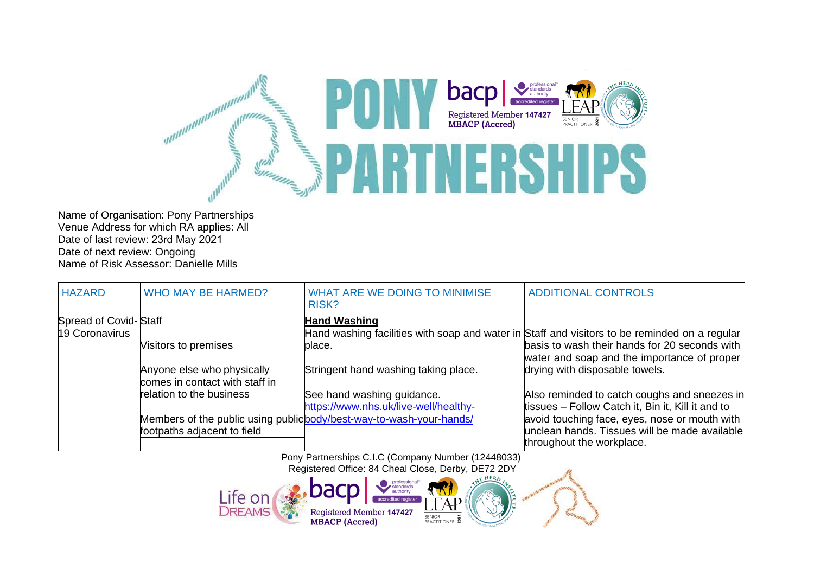

Name of Organisation: Pony Partnerships Venue Address for which RA applies: All Date of last review: 23rd May 2021 Date of next review: Ongoing Name of Risk Assessor: Danielle Mills

| <b>HAZARD</b>         | WHO MAY BE HARMED?             | WHAT ARE WE DOING TO MINIMISE<br>RISK?                               | <b>ADDITIONAL CONTROLS</b>                                                                    |
|-----------------------|--------------------------------|----------------------------------------------------------------------|-----------------------------------------------------------------------------------------------|
| Spread of Covid-Staff |                                | <b>Hand Washing</b>                                                  |                                                                                               |
| 19 Coronavirus        |                                |                                                                      | Hand washing facilities with soap and water in Staff and visitors to be reminded on a regular |
|                       | Visitors to premises           | place.                                                               | basis to wash their hands for 20 seconds with                                                 |
|                       |                                |                                                                      | water and soap and the importance of proper                                                   |
|                       | Anyone else who physically     | Stringent hand washing taking place.                                 | drying with disposable towels.                                                                |
|                       | comes in contact with staff in |                                                                      |                                                                                               |
|                       | relation to the business       | See hand washing guidance.                                           | Also reminded to catch coughs and sneezes in                                                  |
|                       |                                | https://www.nhs.uk/live-well/healthy-                                | tissues - Follow Catch it, Bin it, Kill it and to                                             |
|                       |                                | Members of the public using public body/best-way-to-wash-your-hands/ | avoid touching face, eyes, nose or mouth with                                                 |
|                       | footpaths adjacent to field    |                                                                      | unclean hands. Tissues will be made available                                                 |
|                       |                                |                                                                      | throughout the workplace.                                                                     |

Pony Partnerships C.I.C (Company Number (12448033) Registered Office: 84 Cheal Close, Derby, DE72 2DY

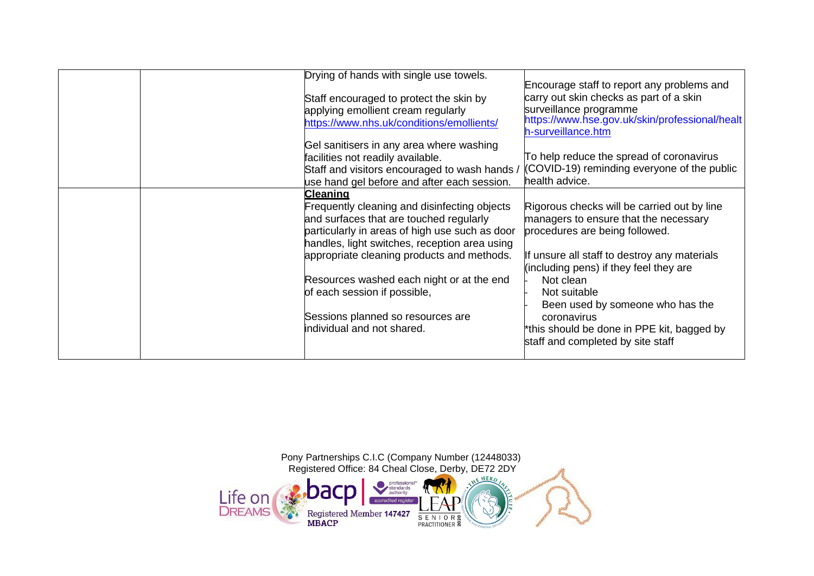| Drying of hands with single use towels.<br>Staff encouraged to protect the skin by<br>applying emollient cream regularly<br>https://www.nhs.uk/conditions/emollients/                                                                                                                                                                                                                                       | Encourage staff to report any problems and<br>carry out skin checks as part of a skin<br>surveillance programme<br>https://www.hse.gov.uk/skin/professional/healt<br>h-surveillance.htm                                                                                                                                                                                             |
|-------------------------------------------------------------------------------------------------------------------------------------------------------------------------------------------------------------------------------------------------------------------------------------------------------------------------------------------------------------------------------------------------------------|-------------------------------------------------------------------------------------------------------------------------------------------------------------------------------------------------------------------------------------------------------------------------------------------------------------------------------------------------------------------------------------|
| Gel sanitisers in any area where washing<br>facilities not readily available.<br>Staff and visitors encouraged to wash hands /<br>use hand gel before and after each session.                                                                                                                                                                                                                               | To help reduce the spread of coronavirus<br>(COVID-19) reminding everyone of the public<br>health advice.                                                                                                                                                                                                                                                                           |
| <b>Cleaning</b><br>Frequently cleaning and disinfecting objects<br>and surfaces that are touched regularly<br>particularly in areas of high use such as door<br>handles, light switches, reception area using<br>appropriate cleaning products and methods.<br>Resources washed each night or at the end<br>of each session if possible,<br>Sessions planned so resources are<br>individual and not shared. | Rigorous checks will be carried out by line<br>managers to ensure that the necessary<br>procedures are being followed.<br>If unsure all staff to destroy any materials<br>(including pens) if they feel they are<br>Not clean<br>Not suitable<br>Been used by someone who has the<br>coronavirus<br>*this should be done in PPE kit, bagged by<br>staff and completed by site staff |

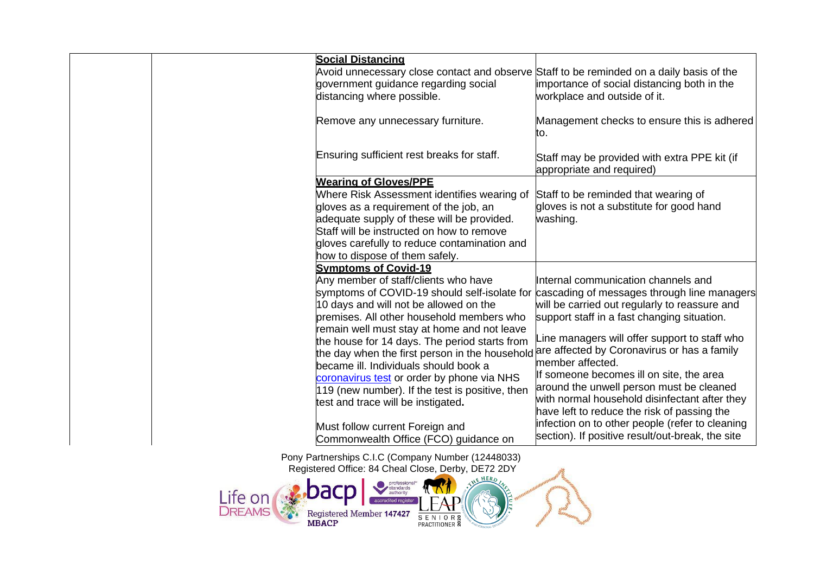| <b>Social Distancing</b><br>Avoid unnecessary close contact and observe Staff to be reminded on a daily basis of the<br>government guidance regarding social<br>distancing where possible.                                                                                                         | importance of social distancing both in the<br>workplace and outside of it.                                                                                                                                                     |
|----------------------------------------------------------------------------------------------------------------------------------------------------------------------------------------------------------------------------------------------------------------------------------------------------|---------------------------------------------------------------------------------------------------------------------------------------------------------------------------------------------------------------------------------|
| Remove any unnecessary furniture.                                                                                                                                                                                                                                                                  | Management checks to ensure this is adhered<br>to.                                                                                                                                                                              |
| Ensuring sufficient rest breaks for staff.                                                                                                                                                                                                                                                         | Staff may be provided with extra PPE kit (if<br>appropriate and required)                                                                                                                                                       |
| <b>Wearing of Gloves/PPE</b><br>Where Risk Assessment identifies wearing of<br>gloves as a requirement of the job, an<br>adequate supply of these will be provided.<br>Staff will be instructed on how to remove<br>gloves carefully to reduce contamination and<br>how to dispose of them safely. | Staff to be reminded that wearing of<br>gloves is not a substitute for good hand<br>washing.                                                                                                                                    |
| <b>Symptoms of Covid-19</b>                                                                                                                                                                                                                                                                        |                                                                                                                                                                                                                                 |
| Any member of staff/clients who have<br>10 days and will not be allowed on the<br>premises. All other household members who<br>remain well must stay at home and not leave                                                                                                                         | Internal communication channels and<br>symptoms of COVID-19 should self-isolate for cascading of messages through line managers<br>will be carried out regularly to reassure and<br>support staff in a fast changing situation. |
| the house for 14 days. The period starts from<br>the day when the first person in the household<br>became ill. Individuals should book a                                                                                                                                                           | Line managers will offer support to staff who<br>are affected by Coronavirus or has a family<br>member affected.<br>If someone becomes ill on site, the area                                                                    |
| coronavirus test or order by phone via NHS<br>119 (new number). If the test is positive, then<br>test and trace will be instigated.                                                                                                                                                                | around the unwell person must be cleaned<br>with normal household disinfectant after they<br>have left to reduce the risk of passing the                                                                                        |
| Must follow current Foreign and<br>Commonwealth Office (FCO) guidance on                                                                                                                                                                                                                           | infection on to other people (refer to cleaning<br>section). If positive result/out-break, the site                                                                                                                             |
| Pony Partnerships C.I.C (Company Number (12448033)<br>Registered Office: 84 Cheal Close, Derby, DE72 2DY                                                                                                                                                                                           | 24.                                                                                                                                                                                                                             |

professional<br>standards<br>authority<br>accredited register

 $\sqrt[n]{\Lambda}$ 

SENIORS<br>PRACTITIONER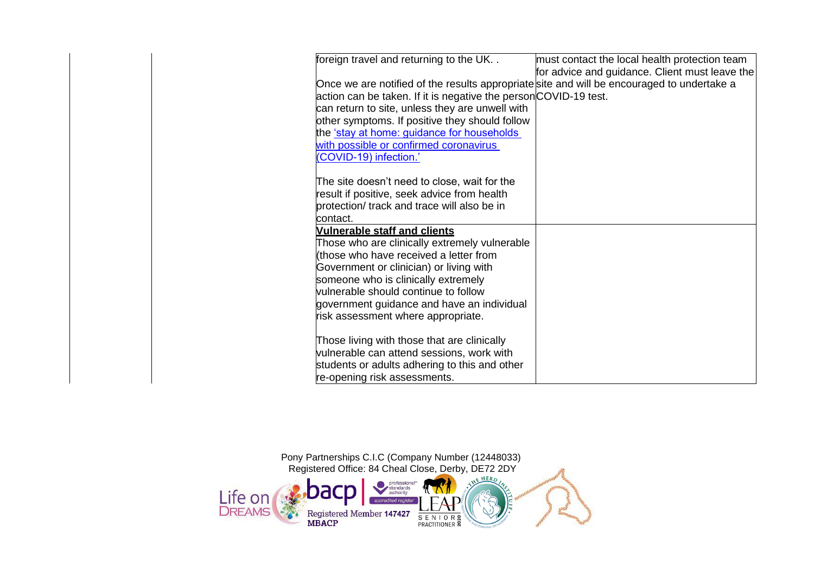| foreign travel and returning to the UK<br>Once we are notified of the results appropriate site and will be encouraged to undertake a<br>action can be taken. If it is negative the personCOVID-19 test.<br>can return to site, unless they are unwell with<br>other symptoms. If positive they should follow<br>the <u>'stay at home: guidance for households</u><br>with possible or confirmed coronavirus<br>(COVID-19) infection.'<br>The site doesn't need to close, wait for the<br>result if positive, seek advice from health | must contact the local health protection team<br>for advice and guidance. Client must leave the |
|--------------------------------------------------------------------------------------------------------------------------------------------------------------------------------------------------------------------------------------------------------------------------------------------------------------------------------------------------------------------------------------------------------------------------------------------------------------------------------------------------------------------------------------|-------------------------------------------------------------------------------------------------|
| protection/ track and trace will also be in<br>contact.                                                                                                                                                                                                                                                                                                                                                                                                                                                                              |                                                                                                 |
| <b>Vulnerable staff and clients</b><br>Those who are clinically extremely vulnerable<br>(those who have received a letter from<br>Government or clinician) or living with<br>someone who is clinically extremely<br>vulnerable should continue to follow<br>government guidance and have an individual<br>risk assessment where appropriate.                                                                                                                                                                                         |                                                                                                 |
| Those living with those that are clinically<br>vulnerable can attend sessions, work with<br>students or adults adhering to this and other<br>re-opening risk assessments.                                                                                                                                                                                                                                                                                                                                                            |                                                                                                 |

Pony Partnerships C.I.C (Company Number (12448033) Registered Office: 84 Cheal Close, Derby, DE72 2DY professional<sup>\*</sup><br>standards<br>authority Life on d accredited registe Registered Member 147427<br>MBACP S E N I O R &<br>PRACTITIONER &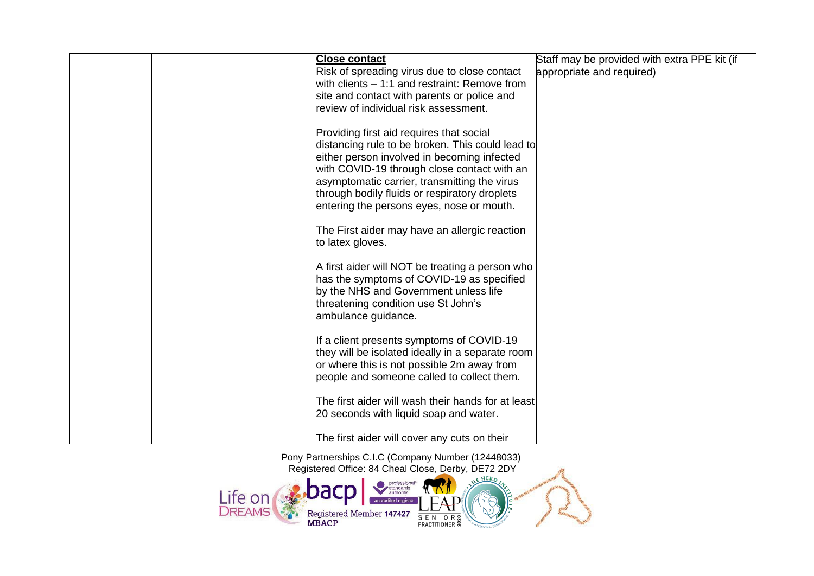| <b>Close contact</b><br>Risk of spreading virus due to close contact<br>with clients - 1:1 and restraint: Remove from<br>site and contact with parents or police and<br>review of individual risk assessment.                                                                                                                            | Staff may be provided with extra PPE kit (if<br>appropriate and required) |
|------------------------------------------------------------------------------------------------------------------------------------------------------------------------------------------------------------------------------------------------------------------------------------------------------------------------------------------|---------------------------------------------------------------------------|
| Providing first aid requires that social<br>distancing rule to be broken. This could lead to<br>either person involved in becoming infected<br>with COVID-19 through close contact with an<br>asymptomatic carrier, transmitting the virus<br>through bodily fluids or respiratory droplets<br>entering the persons eyes, nose or mouth. |                                                                           |
| The First aider may have an allergic reaction<br>to latex gloves.                                                                                                                                                                                                                                                                        |                                                                           |
| A first aider will NOT be treating a person who<br>has the symptoms of COVID-19 as specified<br>by the NHS and Government unless life<br>threatening condition use St John's<br>ambulance guidance.                                                                                                                                      |                                                                           |
| If a client presents symptoms of COVID-19<br>they will be isolated ideally in a separate room<br>or where this is not possible 2m away from<br>people and someone called to collect them.                                                                                                                                                |                                                                           |
| The first aider will wash their hands for at least<br>20 seconds with liquid soap and water.                                                                                                                                                                                                                                             |                                                                           |
| The first aider will cover any cuts on their                                                                                                                                                                                                                                                                                             |                                                                           |

Pony Partnerships C.I.C (Company Number (12448033) Registered Office: 84 Cheal Close, Derby, DE72 2DY

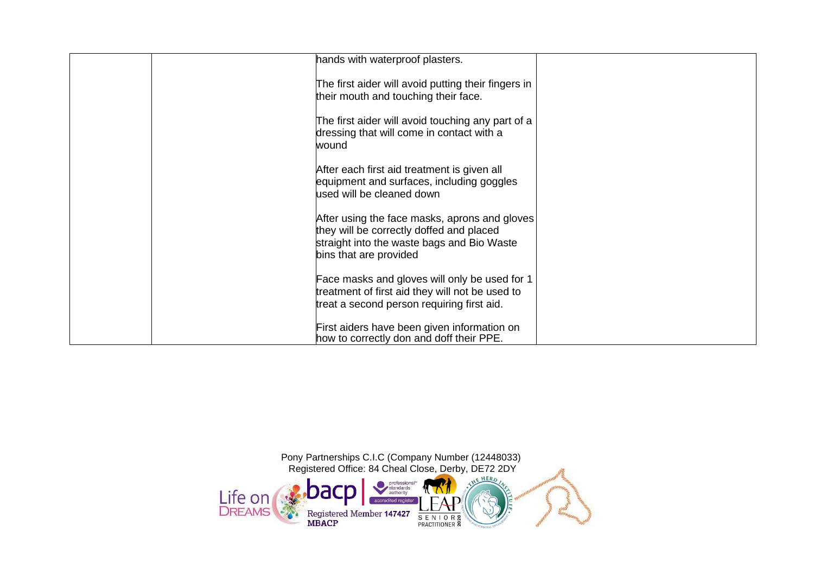| hands with waterproof plasters.                                                                                                                                   |  |
|-------------------------------------------------------------------------------------------------------------------------------------------------------------------|--|
| The first aider will avoid putting their fingers in<br>their mouth and touching their face.                                                                       |  |
| The first aider will avoid touching any part of a<br>dressing that will come in contact with a<br>wound                                                           |  |
| After each first aid treatment is given all<br>equipment and surfaces, including goggles<br>used will be cleaned down                                             |  |
| After using the face masks, aprons and gloves<br>they will be correctly doffed and placed<br>straight into the waste bags and Bio Waste<br>bins that are provided |  |
| Face masks and gloves will only be used for 1<br>treatment of first aid they will not be used to<br>treat a second person requiring first aid.                    |  |
| First aiders have been given information on<br>how to correctly don and doff their PPE.                                                                           |  |

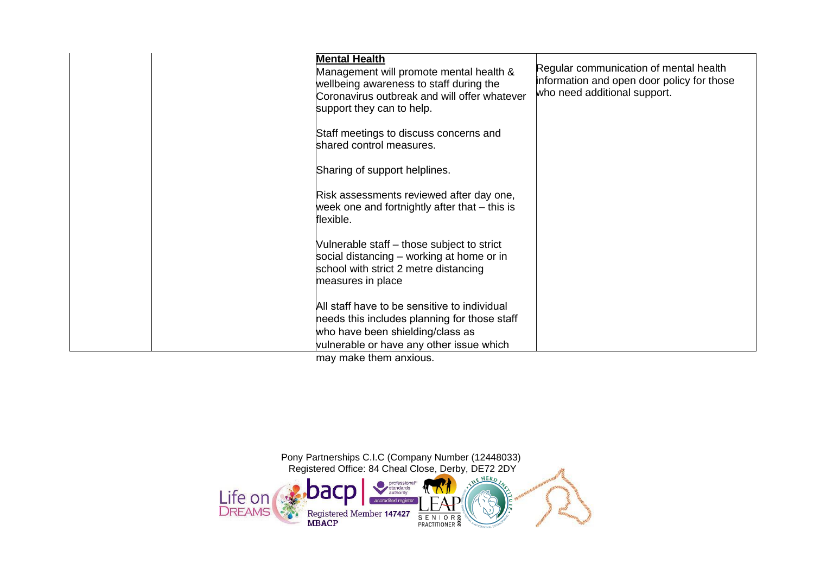| <b>Mental Health</b><br>Management will promote mental health &<br>wellbeing awareness to staff during the<br>Coronavirus outbreak and will offer whatever<br>support they can to help.<br>Staff meetings to discuss concerns and<br>shared control measures.<br>Sharing of support helplines.<br>Risk assessments reviewed after day one,<br>week one and fortnightly after that – this is<br>flexible.<br>Vulnerable staff - those subject to strict<br>social distancing – working at home or in<br>school with strict 2 metre distancing<br>measures in place | Regular communication of mental health<br>information and open door policy for those<br>who need additional support. |
|-------------------------------------------------------------------------------------------------------------------------------------------------------------------------------------------------------------------------------------------------------------------------------------------------------------------------------------------------------------------------------------------------------------------------------------------------------------------------------------------------------------------------------------------------------------------|----------------------------------------------------------------------------------------------------------------------|
| All staff have to be sensitive to individual<br>needs this includes planning for those staff<br>who have been shielding/class as<br>vulnerable or have any other issue which<br>$max11$ meals then a envious                                                                                                                                                                                                                                                                                                                                                      |                                                                                                                      |

may make them anxious.

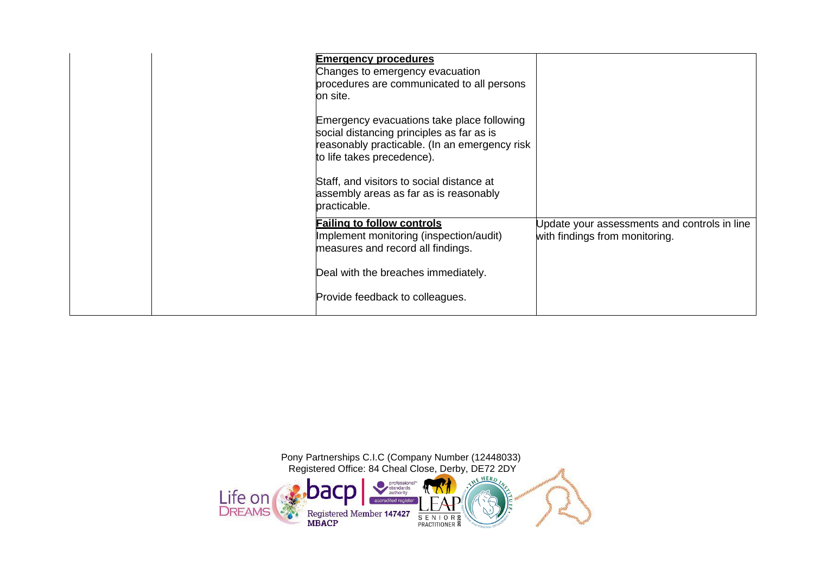| <b>Emergency procedures</b><br>Changes to emergency evacuation<br>procedures are communicated to all persons<br>on site.<br>Emergency evacuations take place following<br>social distancing principles as far as is<br>reasonably practicable. (In an emergency risk<br>to life takes precedence).<br>Staff, and visitors to social distance at<br>assembly areas as far as is reasonably<br>practicable. |                                                                                |
|-----------------------------------------------------------------------------------------------------------------------------------------------------------------------------------------------------------------------------------------------------------------------------------------------------------------------------------------------------------------------------------------------------------|--------------------------------------------------------------------------------|
| <b>Failing to follow controls</b><br>Implement monitoring (inspection/audit)<br>measures and record all findings.<br>Deal with the breaches immediately.<br>Provide feedback to colleagues.                                                                                                                                                                                                               | Update your assessments and controls in line<br>with findings from monitoring. |